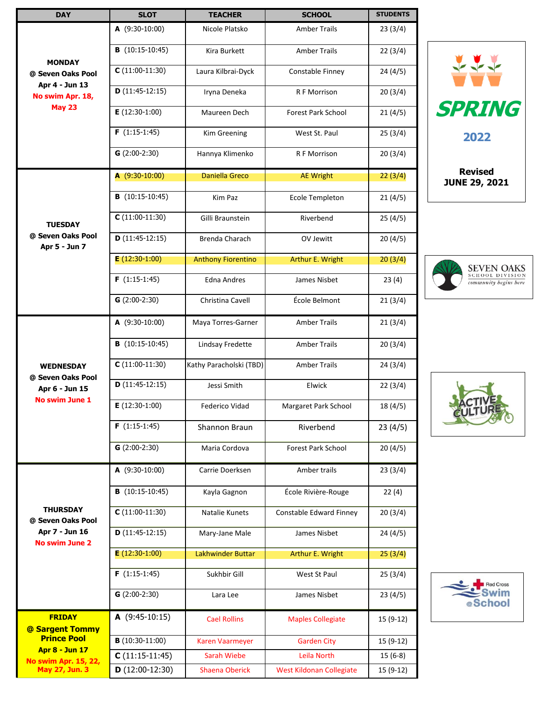| <b>DAY</b>                                                                      | <b>SLOT</b>      | <b>TEACHER</b>            | <b>SCHOOL</b>             | <b>STUDENTS</b> |                                      |
|---------------------------------------------------------------------------------|------------------|---------------------------|---------------------------|-----------------|--------------------------------------|
|                                                                                 | A (9:30-10:00)   | Nicole Platsko            | <b>Amber Trails</b>       | 23(3/4)         |                                      |
|                                                                                 | $B(10:15-10:45)$ | Kira Burkett              | <b>Amber Trails</b>       | 22(3/4)         |                                      |
| <b>MONDAY</b><br>@ Seven Oaks Pool                                              | $C(11:00-11:30)$ | Laura Kilbrai-Dyck        | Constable Finney          | 24(4/5)         | 777                                  |
| Apr 4 - Jun 13<br>No swim Apr. 18,                                              | $D(11:45-12:15)$ | Iryna Deneka              | R F Morrison              | 20(3/4)         |                                      |
| <b>May 23</b>                                                                   | $E(12:30-1:00)$  | Maureen Dech              | <b>Forest Park School</b> | 21(4/5)         | <b>SPRING</b>                        |
|                                                                                 | $F(1:15-1:45)$   | Kim Greening              | West St. Paul             | 25(3/4)         | 2022                                 |
|                                                                                 | $G(2:00-2:30)$   | Hannya Klimenko           | R F Morrison              | 20(3/4)         |                                      |
|                                                                                 | $A(9:30-10:00)$  | <b>Daniella Greco</b>     | <b>AE Wright</b>          | 22(3/4)         | <b>Revised</b>                       |
|                                                                                 | $B(10:15-10:45)$ | Kim Paz                   | Ecole Templeton           | 21(4/5)         | <b>JUNE 29, 2021</b>                 |
|                                                                                 | $C(11:00-11:30)$ | Gilli Braunstein          | Riverbend                 | 25(4/5)         |                                      |
| <b>TUESDAY</b><br>@ Seven Oaks Pool<br>Apr 5 - Jun 7                            | $D(11:45-12:15)$ | Brenda Charach            | OV Jewitt                 | 20(4/5)         |                                      |
|                                                                                 | $E(12:30-1:00)$  | <b>Anthony Fiorentino</b> | Arthur E. Wright          | 20(3/4)         |                                      |
|                                                                                 | $F(1:15-1:45)$   | <b>Edna Andres</b>        | James Nisbet              | 23(4)           | <b>SEVEN OAKS</b><br>SCHOOL DIVISION |
|                                                                                 | $G(2:00-2:30)$   | Christina Cavell          | École Belmont             |                 | community begins here                |
|                                                                                 |                  |                           |                           | 21(3/4)         |                                      |
| <b>WEDNESDAY</b><br>@ Seven Oaks Pool                                           | $A(9:30-10:00)$  | Maya Torres-Garner        | <b>Amber Trails</b>       | 21(3/4)         |                                      |
|                                                                                 | $B(10:15-10:45)$ | Lindsay Fredette          | <b>Amber Trails</b>       | 20(3/4)         |                                      |
|                                                                                 | $C(11:00-11:30)$ | Kathy Paracholski (TBD)   | <b>Amber Trails</b>       | 24(3/4)         |                                      |
| Apr 6 - Jun 15                                                                  | $D(11:45-12:15)$ | Jessi Smith               | Elwick                    | 22(3/4)         |                                      |
| <b>No swim June 1</b>                                                           | $E(12:30-1:00)$  | Federico Vidad            | Margaret Park School      | 18(4/5)         | <b>GULTURE</b>                       |
|                                                                                 | $F(1:15-1:45)$   | Shannon Braun             | Riverbend                 | 23(4/5)         |                                      |
|                                                                                 | $G(2:00-2:30)$   | Maria Cordova             | <b>Forest Park School</b> | 20(4/5)         |                                      |
| <b>THURSDAY</b><br>@ Seven Oaks Pool<br>Apr 7 - Jun 16<br><b>No swim June 2</b> | $A(9:30-10:00)$  | Carrie Doerksen           | Amber trails              | 23(3/4)         |                                      |
|                                                                                 | $B(10:15-10:45)$ | Kayla Gagnon              | École Rivière-Rouge       | 22(4)           |                                      |
|                                                                                 | $C(11:00-11:30)$ | Natalie Kunets            | Constable Edward Finney   | 20(3/4)         |                                      |
|                                                                                 | $D(11:45-12:15)$ | Mary-Jane Male            | James Nisbet              | 24(4/5)         |                                      |
|                                                                                 | $E(12:30-1:00)$  | Lakhwinder Buttar         | Arthur E. Wright          | 25(3/4)         |                                      |
|                                                                                 | $F(1:15-1:45)$   | Sukhbir Gill              | West St Paul              | 25(3/4)         | <b>Red Cross</b><br>Swim             |
|                                                                                 | $G(2:00-2:30)$   | Lara Lee                  | James Nisbet              | 23(4/5)         |                                      |
| <b>FRIDAY</b>                                                                   | $A(9:45-10:15)$  | <b>Cael Rollins</b>       | <b>Maples Collegiate</b>  | 15 (9-12)       |                                      |
| <b>Prince Pool</b>                                                              | $B(10:30-11:00)$ |                           |                           |                 |                                      |
| <b>Apr 8 - Jun 17</b>                                                           | $C(11:15-11:45)$ | <b>Sarah Wiebe</b>        | Leila North               | $15(6-8)$       |                                      |
| May 27, Jun. 3                                                                  | $D(12:00-12:30)$ | <b>Shaena Oberick</b>     | West Kildonan Collegiate  | 15 (9-12)       |                                      |
| @ Sargent Tommy<br><b>No swim Apr. 15, 22,</b>                                  |                  | Karen Vaarmeyer           | <b>Garden City</b>        | 15 (9-12)       | @School                              |